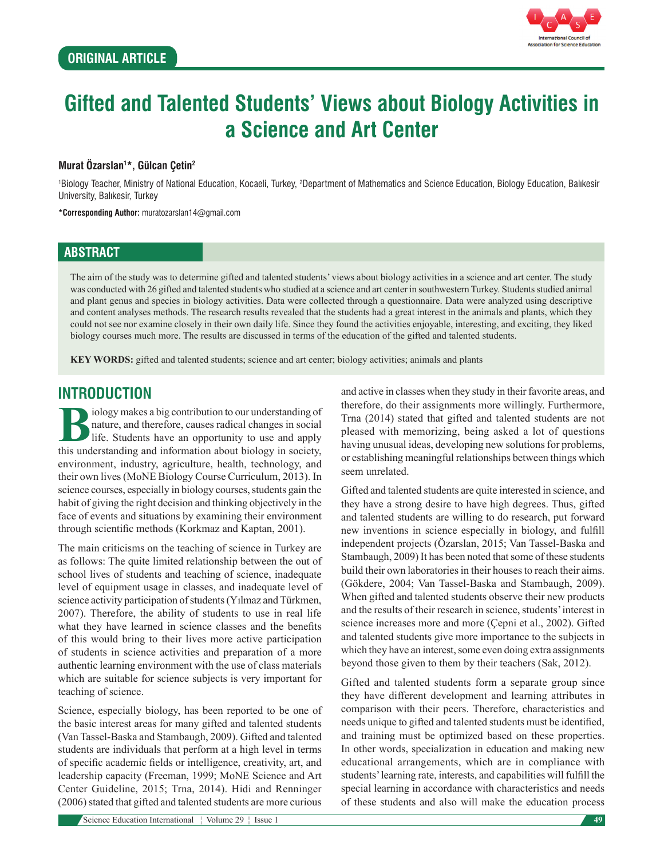

# **Gifted and Talented Students' Views about Biology Activities in a Science and Art Center**

## **Murat Özarslan1 \*, Gülcan Çetin2**

<sup>1</sup>Biology Teacher, Ministry of National Education, Kocaeli, Turkey, <sup>2</sup>Department of Mathematics and Science Education, Biology Education, Balıkesir University, Balıkesir, Turkey

**\*Corresponding Author:** muratozarslan14@gmail.com

## **ABSTRACT**

The aim of the study was to determine gifted and talented students' views about biology activities in a science and art center. The study was conducted with 26 gifted and talented students who studied at a science and art center in southwestern Turkey. Students studied animal and plant genus and species in biology activities. Data were collected through a questionnaire. Data were analyzed using descriptive and content analyses methods. The research results revealed that the students had a great interest in the animals and plants, which they could not see nor examine closely in their own daily life. Since they found the activities enjoyable, interesting, and exciting, they liked biology courses much more. The results are discussed in terms of the education of the gifted and talented students.

**KEY WORDS:** gifted and talented students; science and art center; biology activities; animals and plants

# **INTRODUCTION**

**Biology makes a big contribution to our understanding of nature, and therefore, causes radical changes in social life. Students have an opportunity to use and apply this understanding and information about biology in soci** nature, and therefore, causes radical changes in social life. Students have an opportunity to use and apply this understanding and information about biology in society, environment, industry, agriculture, health, technology, and their own lives (MoNE Biology Course Curriculum, 2013). In science courses, especially in biology courses, students gain the habit of giving the right decision and thinking objectively in the face of events and situations by examining their environment through scientific methods (Korkmaz and Kaptan, 2001).

The main criticisms on the teaching of science in Turkey are as follows: The quite limited relationship between the out of school lives of students and teaching of science, inadequate level of equipment usage in classes, and inadequate level of science activity participation of students (Yılmaz and Türkmen, 2007). Therefore, the ability of students to use in real life what they have learned in science classes and the benefits of this would bring to their lives more active participation of students in science activities and preparation of a more authentic learning environment with the use of class materials which are suitable for science subjects is very important for teaching of science.

Science, especially biology, has been reported to be one of the basic interest areas for many gifted and talented students (Van Tassel-Baska and Stambaugh, 2009). Gifted and talented students are individuals that perform at a high level in terms of specific academic fields or intelligence, creativity, art, and leadership capacity (Freeman, 1999; MoNE Science and Art Center Guideline, 2015; Trna, 2014). Hidi and Renninger (2006) stated that gifted and talented students are more curious and active in classes when they study in their favorite areas, and therefore, do their assignments more willingly. Furthermore, Trna (2014) stated that gifted and talented students are not pleased with memorizing, being asked a lot of questions having unusual ideas, developing new solutions for problems, or establishing meaningful relationships between things which seem unrelated.

Gifted and talented students are quite interested in science, and they have a strong desire to have high degrees. Thus, gifted and talented students are willing to do research, put forward new inventions in science especially in biology, and fulfill independent projects (Özarslan, 2015; Van Tassel-Baska and Stambaugh, 2009) It has been noted that some of these students build their own laboratories in their houses to reach their aims. (Gökdere, 2004; Van Tassel-Baska and Stambaugh, 2009). When gifted and talented students observe their new products and the results of their research in science, students' interest in science increases more and more (Çepni et al., 2002). Gifted and talented students give more importance to the subjects in which they have an interest, some even doing extra assignments beyond those given to them by their teachers (Sak, 2012).

Gifted and talented students form a separate group since they have different development and learning attributes in comparison with their peers. Therefore, characteristics and needs unique to gifted and talented students must be identified, and training must be optimized based on these properties. In other words, specialization in education and making new educational arrangements, which are in compliance with students' learning rate, interests, and capabilities will fulfill the special learning in accordance with characteristics and needs of these students and also will make the education process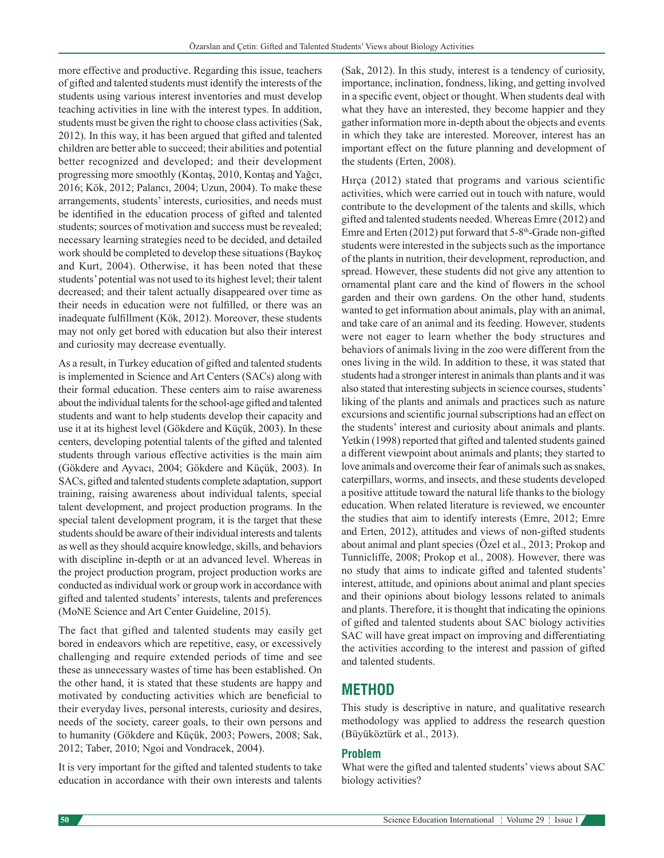more effective and productive. Regarding this issue, teachers of gifted and talented students must identify the interests of the students using various interest inventories and must develop teaching activities in line with the interest types. In addition, students must be given the right to choose class activities (Sak, 2012). In this way, it has been argued that gifted and talented children are better able to succeed; their abilities and potential better recognized and developed; and their development progressing more smoothly (Kontaş, 2010, Kontaş and Yağcı, 2016; Kök, 2012; Palancı, 2004; Uzun, 2004). To make these arrangements, students' interests, curiosities, and needs must be identified in the education process of gifted and talented students; sources of motivation and success must be revealed; necessary learning strategies need to be decided, and detailed work should be completed to develop these situations (Baykoç and Kurt, 2004). Otherwise, it has been noted that these students' potential was not used to its highest level; their talent decreased; and their talent actually disappeared over time as their needs in education were not fulfilled, or there was an inadequate fulfillment (Kök, 2012). Moreover, these students may not only get bored with education but also their interest and curiosity may decrease eventually.

As a result, in Turkey education of gifted and talented students is implemented in Science and Art Centers (SACs) along with their formal education. These centers aim to raise awareness about the individual talents for the school-age gifted and talented students and want to help students develop their capacity and use it at its highest level (Gökdere and Küçük, 2003). In these centers, developing potential talents of the gifted and talented students through various effective activities is the main aim (Gökdere and Ayvacı, 2004; Gökdere and Küçük, 2003). In SACs, gifted and talented students complete adaptation, support training, raising awareness about individual talents, special talent development, and project production programs. In the special talent development program, it is the target that these students should be aware of their individual interests and talents as well as they should acquire knowledge, skills, and behaviors with discipline in-depth or at an advanced level. Whereas in the project production program, project production works are conducted as individual work or group work in accordance with gifted and talented students' interests, talents and preferences (MoNE Science and Art Center Guideline, 2015).

The fact that gifted and talented students may easily get bored in endeavors which are repetitive, easy, or excessively challenging and require extended periods of time and see these as unnecessary wastes of time has been established. On the other hand, it is stated that these students are happy and motivated by conducting activities which are beneficial to their everyday lives, personal interests, curiosity and desires, needs of the society, career goals, to their own persons and to humanity (Gökdere and Küçük, 2003; Powers, 2008; Sak, 2012; Taber, 2010; Ngoi and Vondracek, 2004).

It is very important for the gifted and talented students to take education in accordance with their own interests and talents (Sak, 2012). In this study, interest is a tendency of curiosity, importance, inclination, fondness, liking, and getting involved in a specific event, object or thought. When students deal with what they have an interested, they become happier and they gather information more in-depth about the objects and events in which they take are interested. Moreover, interest has an important effect on the future planning and development of the students (Erten, 2008).

Hırça (2012) stated that programs and various scientific activities, which were carried out in touch with nature, would contribute to the development of the talents and skills, which gifted and talented students needed. Whereas Emre (2012) and Emre and Erten  $(2012)$  put forward that 5-8<sup>th</sup>-Grade non-gifted students were interested in the subjects such as the importance of the plants in nutrition, their development, reproduction, and spread. However, these students did not give any attention to ornamental plant care and the kind of flowers in the school garden and their own gardens. On the other hand, students wanted to get information about animals, play with an animal, and take care of an animal and its feeding. However, students were not eager to learn whether the body structures and behaviors of animals living in the zoo were different from the ones living in the wild. In addition to these, it was stated that students had a stronger interest in animals than plants and it was also stated that interesting subjects in science courses, students' liking of the plants and animals and practices such as nature excursions and scientific journal subscriptions had an effect on the students' interest and curiosity about animals and plants. Yetkin (1998) reported that gifted and talented students gained a different viewpoint about animals and plants; they started to love animals and overcome their fear of animals such as snakes, caterpillars, worms, and insects, and these students developed a positive attitude toward the natural life thanks to the biology education. When related literature is reviewed, we encounter the studies that aim to identify interests (Emre, 2012; Emre and Erten, 2012), attitudes and views of non-gifted students about animal and plant species (Özel et al., 2013; Prokop and Tunnicliffe, 2008; Prokop et al., 2008). However, there was no study that aims to indicate gifted and talented students' interest, attitude, and opinions about animal and plant species and their opinions about biology lessons related to animals and plants. Therefore, it is thought that indicating the opinions of gifted and talented students about SAC biology activities SAC will have great impact on improving and differentiating the activities according to the interest and passion of gifted and talented students.

# **METHOD**

This study is descriptive in nature, and qualitative research methodology was applied to address the research question (Büyüköztürk et al., 2013).

## **Problem**

What were the gifted and talented students' views about SAC biology activities?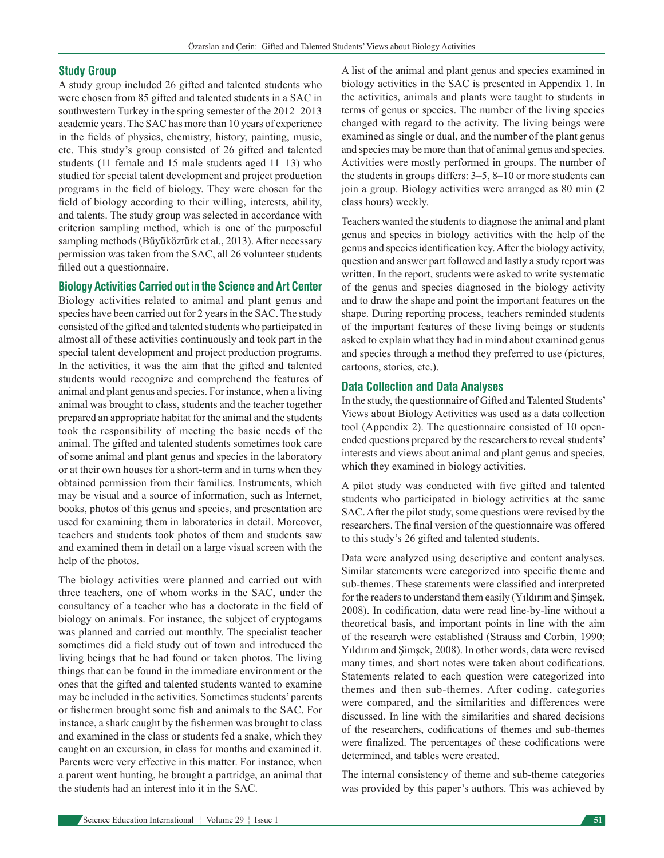#### **Study Group**

A study group included 26 gifted and talented students who were chosen from 85 gifted and talented students in a SAC in southwestern Turkey in the spring semester of the 2012–2013 academic years. The SAC has more than 10 years of experience in the fields of physics, chemistry, history, painting, music, etc. This study's group consisted of 26 gifted and talented students (11 female and 15 male students aged 11–13) who studied for special talent development and project production programs in the field of biology. They were chosen for the field of biology according to their willing, interests, ability, and talents. The study group was selected in accordance with criterion sampling method, which is one of the purposeful sampling methods (Büyüköztürk et al., 2013). After necessary permission was taken from the SAC, all 26 volunteer students filled out a questionnaire.

#### **Biology Activities Carried out in the Science and Art Center**

Biology activities related to animal and plant genus and species have been carried out for 2 years in the SAC. The study consisted of the gifted and talented students who participated in almost all of these activities continuously and took part in the special talent development and project production programs. In the activities, it was the aim that the gifted and talented students would recognize and comprehend the features of animal and plant genus and species. For instance, when a living animal was brought to class, students and the teacher together prepared an appropriate habitat for the animal and the students took the responsibility of meeting the basic needs of the animal. The gifted and talented students sometimes took care of some animal and plant genus and species in the laboratory or at their own houses for a short-term and in turns when they obtained permission from their families. Instruments, which may be visual and a source of information, such as Internet, books, photos of this genus and species, and presentation are used for examining them in laboratories in detail. Moreover, teachers and students took photos of them and students saw and examined them in detail on a large visual screen with the help of the photos.

The biology activities were planned and carried out with three teachers, one of whom works in the SAC, under the consultancy of a teacher who has a doctorate in the field of biology on animals. For instance, the subject of cryptogams was planned and carried out monthly. The specialist teacher sometimes did a field study out of town and introduced the living beings that he had found or taken photos. The living things that can be found in the immediate environment or the ones that the gifted and talented students wanted to examine may be included in the activities. Sometimes students' parents or fishermen brought some fish and animals to the SAC. For instance, a shark caught by the fishermen was brought to class and examined in the class or students fed a snake, which they caught on an excursion, in class for months and examined it. Parents were very effective in this matter. For instance, when a parent went hunting, he brought a partridge, an animal that the students had an interest into it in the SAC.

A list of the animal and plant genus and species examined in biology activities in the SAC is presented in Appendix 1. In the activities, animals and plants were taught to students in terms of genus or species. The number of the living species changed with regard to the activity. The living beings were examined as single or dual, and the number of the plant genus and species may be more than that of animal genus and species. Activities were mostly performed in groups. The number of the students in groups differs: 3–5, 8–10 or more students can join a group. Biology activities were arranged as 80 min (2 class hours) weekly.

Teachers wanted the students to diagnose the animal and plant genus and species in biology activities with the help of the genus and species identification key. After the biology activity, question and answer part followed and lastly a study report was written. In the report, students were asked to write systematic of the genus and species diagnosed in the biology activity and to draw the shape and point the important features on the shape. During reporting process, teachers reminded students of the important features of these living beings or students asked to explain what they had in mind about examined genus and species through a method they preferred to use (pictures, cartoons, stories, etc.).

#### **Data Collection and Data Analyses**

In the study, the questionnaire of Gifted and Talented Students' Views about Biology Activities was used as a data collection tool (Appendix 2). The questionnaire consisted of 10 openended questions prepared by the researchers to reveal students' interests and views about animal and plant genus and species, which they examined in biology activities.

A pilot study was conducted with five gifted and talented students who participated in biology activities at the same SAC. After the pilot study, some questions were revised by the researchers. The final version of the questionnaire was offered to this study's 26 gifted and talented students.

Data were analyzed using descriptive and content analyses. Similar statements were categorized into specific theme and sub-themes. These statements were classified and interpreted for the readers to understand them easily (Yıldırım and Şimşek, 2008). In codification, data were read line-by-line without a theoretical basis, and important points in line with the aim of the research were established (Strauss and Corbin, 1990; Yıldırım and Şimşek, 2008). In other words, data were revised many times, and short notes were taken about codifications. Statements related to each question were categorized into themes and then sub-themes. After coding, categories were compared, and the similarities and differences were discussed. In line with the similarities and shared decisions of the researchers, codifications of themes and sub-themes were finalized. The percentages of these codifications were determined, and tables were created.

The internal consistency of theme and sub-theme categories was provided by this paper's authors. This was achieved by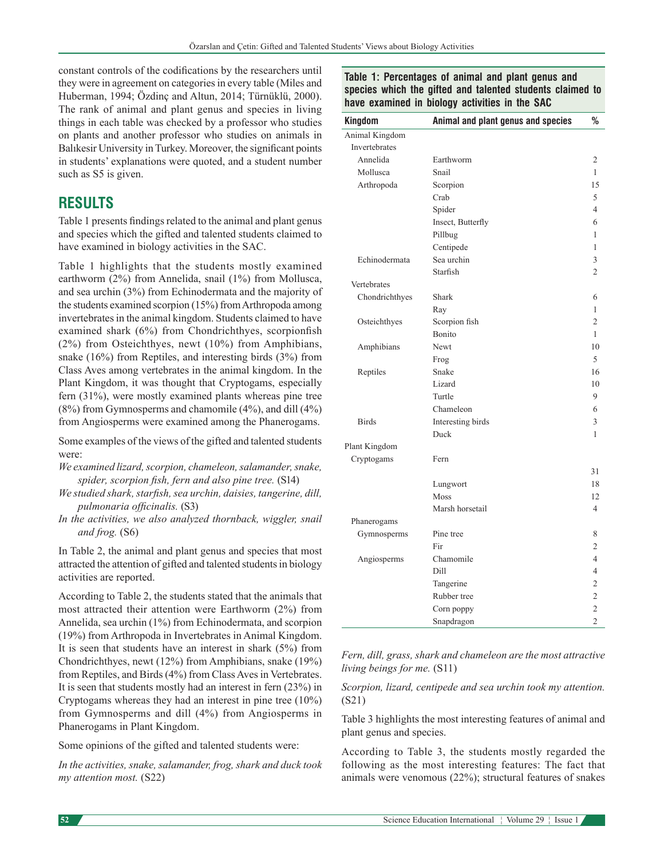constant controls of the codifications by the researchers until they were in agreement on categories in every table (Miles and Huberman, 1994; Özdinç and Altun, 2014; Türnüklü, 2000). The rank of animal and plant genus and species in living things in each table was checked by a professor who studies on plants and another professor who studies on animals in Balıkesir University in Turkey. Moreover, the significant points in students' explanations were quoted, and a student number such as S5 is given.

# **RESULTS**

Table 1 presents findings related to the animal and plant genus and species which the gifted and talented students claimed to have examined in biology activities in the SAC.

Table 1 highlights that the students mostly examined earthworm (2%) from Annelida, snail (1%) from Mollusca, and sea urchin (3%) from Echinodermata and the majority of the students examined scorpion (15%) from Arthropoda among invertebrates in the animal kingdom. Students claimed to have examined shark (6%) from Chondrichthyes, scorpionfish (2%) from Osteichthyes, newt (10%) from Amphibians, snake (16%) from Reptiles, and interesting birds (3%) from Class Aves among vertebrates in the animal kingdom. In the Plant Kingdom, it was thought that Cryptogams, especially fern (31%), were mostly examined plants whereas pine tree (8%) from Gymnosperms and chamomile (4%), and dill (4%) from Angiosperms were examined among the Phanerogams.

Some examples of the views of the gifted and talented students were:

- *We examined lizard, scorpion, chameleon, salamander, snake, spider, scorpion fish, fern and also pine tree.* (S14)
- *We studied shark, starfish, sea urchin, daisies, tangerine, dill, pulmonaria officinalis.* (S3)
- *In the activities, we also analyzed thornback, wiggler, snail and frog.* (S6)

In Table 2, the animal and plant genus and species that most attracted the attention of gifted and talented students in biology activities are reported.

According to Table 2, the students stated that the animals that most attracted their attention were Earthworm (2%) from Annelida, sea urchin (1%) from Echinodermata, and scorpion (19%) from Arthropoda in Invertebrates in Animal Kingdom. It is seen that students have an interest in shark (5%) from Chondrichthyes, newt (12%) from Amphibians, snake (19%) from Reptiles, and Birds (4%) from ClassAves in Vertebrates. It is seen that students mostly had an interest in fern (23%) in Cryptogams whereas they had an interest in pine tree (10%) from Gymnosperms and dill (4%) from Angiosperms in Phanerogams in Plant Kingdom.

Some opinions of the gifted and talented students were:

*In the activities, snake, salamander, frog, shark and duck took my attention most.* (S22)

#### **Table 1: Percentages of animal and plant genus and species which the gifted and talented students claimed to have examined in biology activities in the SAC**

| Kingdom        | Animal and plant genus and species | %              |
|----------------|------------------------------------|----------------|
| Animal Kingdom |                                    |                |
| Invertebrates  |                                    |                |
| Annelida       | Earthworm                          |                |
| Mollusca       | Snail                              |                |
| Arthropoda     | Scorpion                           | 15             |
|                | Crab                               | 5              |
|                | Spider                             | $\overline{4}$ |
|                | Insect, Butterfly                  | 6              |
|                | Pillbug                            | 1              |
|                | Centipede                          | 1              |
| Echinodermata  | Sea urchin                         | 3              |
|                | Starfish                           | $\overline{c}$ |
| Vertebrates    |                                    |                |
| Chondrichthyes | Shark                              | 6              |
|                | Ray                                | 1              |
| Osteichthyes   | Scorpion fish                      | $\overline{c}$ |
|                | Bonito                             | 1              |
| Amphibians     | Newt                               | 10             |
|                | Frog                               | 5              |
| Reptiles       | Snake                              | 16             |
|                | Lizard                             | 10             |
|                | Turtle                             | 9              |
|                | Chameleon                          | 6              |
| <b>Birds</b>   | Interesting birds                  | 3              |
|                | Duck                               | 1              |
| Plant Kingdom  |                                    |                |
| Cryptogams     | Fern                               |                |
|                |                                    | 31             |
|                | Lungwort                           | 18             |
|                | Moss                               | 12             |
|                | Marsh horsetail                    | $\overline{4}$ |
| Phanerogams    |                                    |                |
| Gymnosperms    | Pine tree                          | 8              |
|                | Fir                                | $\overline{c}$ |
| Angiosperms    | Chamomile                          | $\overline{4}$ |
|                | Dill                               | $\overline{4}$ |
|                | Tangerine                          | $\overline{2}$ |
|                | Rubber tree                        | $\overline{2}$ |
|                | Corn poppy                         | $\overline{c}$ |
|                | Snapdragon                         | $\overline{2}$ |

*Fern, dill, grass, shark and chameleon are the most attractive living beings for me.* (S11)

*Scorpion, lizard, centipede and sea urchin took my attention.*  (S21)

Table 3 highlights the most interesting features of animal and plant genus and species.

According to Table 3, the students mostly regarded the following as the most interesting features: The fact that animals were venomous (22%); structural features of snakes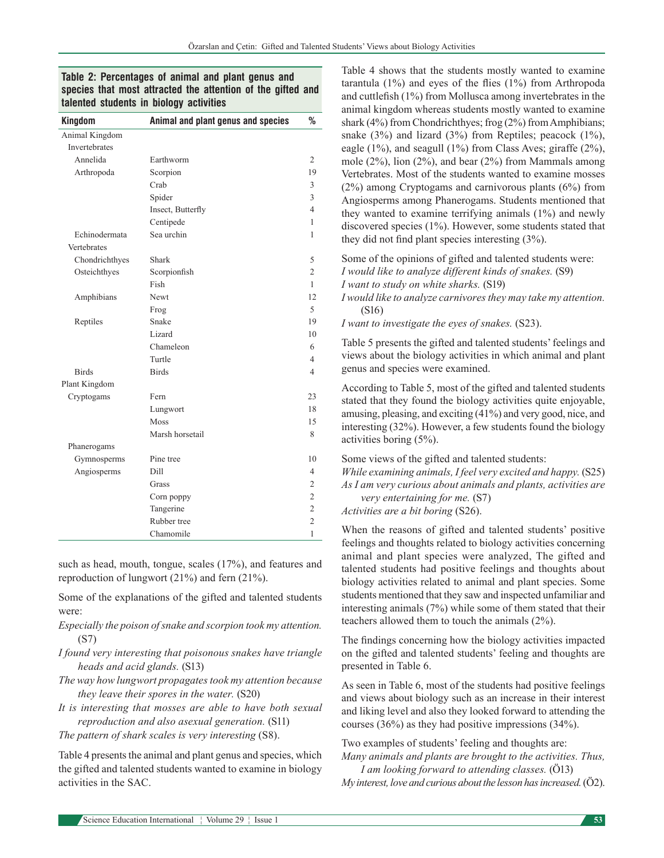## **Table 2: Percentages of animal and plant genus and species that most attracted the attention of the gifted and talented students in biology activities**

| Kingdom        | Animal and plant genus and species | %              |
|----------------|------------------------------------|----------------|
| Animal Kingdom |                                    |                |
| Invertebrates  |                                    |                |
| Annelida       | Earthworm                          | 2              |
| Arthropoda     | Scorpion                           | 19             |
|                | Crab                               | 3              |
|                | Spider                             | 3              |
|                | Insect, Butterfly                  | 4              |
|                | Centipede                          | 1              |
| Echinodermata  | Sea urchin                         | 1              |
| Vertebrates    |                                    |                |
| Chondrichthyes | <b>Shark</b>                       | 5              |
| Osteichthyes   | Scorpionfish                       | $\overline{c}$ |
|                | Fish                               | 1              |
| Amphibians     | Newt                               | 12             |
|                | Frog                               | 5              |
| Reptiles       | Snake                              | 19             |
|                | Lizard                             | 10             |
|                | Chameleon                          | 6              |
|                | Turtle                             | 4              |
| <b>Birds</b>   | <b>Birds</b>                       | 4              |
| Plant Kingdom  |                                    |                |
| Cryptogams     | Fern                               | 23             |
|                | Lungwort                           | 18             |
|                | Moss                               | 15             |
|                | Marsh horsetail                    | 8              |
| Phanerogams    |                                    |                |
| Gymnosperms    | Pine tree                          | 10             |
| Angiosperms    | Dill                               | 4              |
|                | Grass                              | $\overline{2}$ |
|                | Corn poppy                         | $\overline{2}$ |
|                | Tangerine                          | $\overline{2}$ |
|                | Rubber tree                        | $\overline{c}$ |
|                | Chamomile                          | $\mathbf{1}$   |

such as head, mouth, tongue, scales (17%), and features and reproduction of lungwort (21%) and fern (21%).

Some of the explanations of the gifted and talented students were:

- *Especially the poison of snake and scorpion took my attention.* (S7)
- *I found very interesting that poisonous snakes have triangle heads and acid glands.* (S13)
- *The way how lungwort propagates took my attention because they leave their spores in the water.* (S20)
- *It is interesting that mosses are able to have both sexual reproduction and also asexual generation.* (S11)

*The pattern of shark scales is very interesting (S8).* 

Table 4 presents the animal and plant genus and species, which the gifted and talented students wanted to examine in biology activities in the SAC.

Table 4 shows that the students mostly wanted to examine tarantula (1%) and eyes of the flies (1%) from Arthropoda and cuttlefish (1%) from Mollusca among invertebrates in the animal kingdom whereas students mostly wanted to examine shark (4%) from Chondrichthyes; frog (2%) from Amphibians; snake  $(3\%)$  and lizard  $(3\%)$  from Reptiles; peacock  $(1\%)$ , eagle (1%), and seagull (1%) from Class Aves; giraffe (2%), mole (2%), lion (2%), and bear (2%) from Mammals among Vertebrates. Most of the students wanted to examine mosses (2%) among Cryptogams and carnivorous plants (6%) from Angiosperms among Phanerogams. Students mentioned that they wanted to examine terrifying animals (1%) and newly discovered species (1%). However, some students stated that they did not find plant species interesting (3%).

Some of the opinions of gifted and talented students were:

- *I would like to analyze different kinds of snakes.* (S9)
- *I want to study on white sharks.* (S19)

*I would like to analyze carnivores they may take my attention.* (S16)

*I want to investigate the eyes of snakes.* (S23).

Table 5 presents the gifted and talented students' feelings and views about the biology activities in which animal and plant genus and species were examined.

According to Table 5, most of the gifted and talented students stated that they found the biology activities quite enjoyable, amusing, pleasing, and exciting (41%) and very good, nice, and interesting (32%). However, a few students found the biology activities boring (5%).

Some views of the gifted and talented students:

*While examining animals, I feel very excited and happy.* (S25) *As I am very curious about animals and plants, activities are* 

*very entertaining for me.* (S7)

*Activities are a bit boring* (S26).

When the reasons of gifted and talented students' positive feelings and thoughts related to biology activities concerning animal and plant species were analyzed, The gifted and talented students had positive feelings and thoughts about biology activities related to animal and plant species. Some students mentioned that they saw and inspected unfamiliar and interesting animals (7%) while some of them stated that their teachers allowed them to touch the animals (2%).

The findings concerning how the biology activities impacted on the gifted and talented students' feeling and thoughts are presented in Table 6.

As seen in Table 6, most of the students had positive feelings and views about biology such as an increase in their interest and liking level and also they looked forward to attending the courses (36%) as they had positive impressions (34%).

Two examples of students' feeling and thoughts are: *Many animals and plants are brought to the activities. Thus,* 

*I am looking forward to attending classes.* (Ö13) *My interest, love and curious about the lesson has increased.* (Ö2).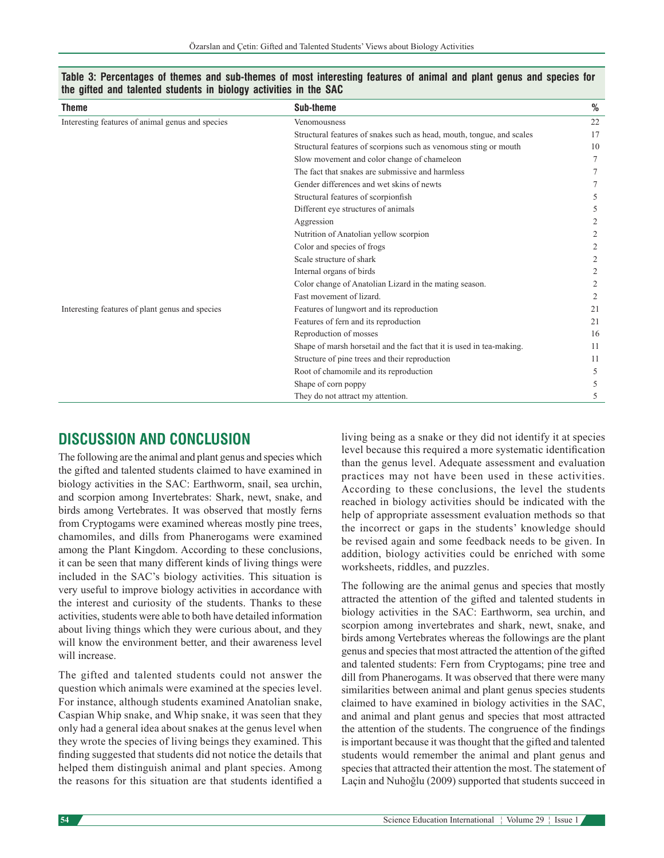| <b>Theme</b>                                     | Sub-theme                                                             | %  |
|--------------------------------------------------|-----------------------------------------------------------------------|----|
| Interesting features of animal genus and species | Venomousness                                                          | 22 |
|                                                  | Structural features of snakes such as head, mouth, tongue, and scales | 17 |
|                                                  | Structural features of scorpions such as venomous sting or mouth      | 10 |
|                                                  | Slow movement and color change of chameleon                           |    |
|                                                  | The fact that snakes are submissive and harmless                      |    |
|                                                  | Gender differences and wet skins of newts                             |    |
|                                                  | Structural features of scorpionfish                                   |    |
|                                                  | Different eye structures of animals                                   |    |
|                                                  | Aggression                                                            |    |
|                                                  | Nutrition of Anatolian yellow scorpion                                |    |
|                                                  | Color and species of frogs                                            |    |
|                                                  | Scale structure of shark                                              |    |
|                                                  | Internal organs of birds                                              |    |
|                                                  | Color change of Anatolian Lizard in the mating season.                |    |
|                                                  | Fast movement of lizard.                                              | 2  |
| Interesting features of plant genus and species  | Features of lungwort and its reproduction                             | 21 |
|                                                  | Features of fern and its reproduction                                 | 21 |
|                                                  | Reproduction of mosses                                                | 16 |
|                                                  | Shape of marsh horsetail and the fact that it is used in tea-making.  | 11 |
|                                                  | Structure of pine trees and their reproduction                        | 11 |
|                                                  | Root of chamomile and its reproduction                                | 5  |
|                                                  | Shape of corn poppy                                                   | 5  |
|                                                  | They do not attract my attention.                                     | 5  |

**Table 3: Percentages of themes and sub‑themes of most interesting features of animal and plant genus and species for the gifted and talented students in biology activities in the SAC**

# **DISCUSSION AND CONCLUSION**

The following are the animal and plant genus and species which the gifted and talented students claimed to have examined in biology activities in the SAC: Earthworm, snail, sea urchin, and scorpion among Invertebrates: Shark, newt, snake, and birds among Vertebrates. It was observed that mostly ferns from Cryptogams were examined whereas mostly pine trees, chamomiles, and dills from Phanerogams were examined among the Plant Kingdom. According to these conclusions, it can be seen that many different kinds of living things were included in the SAC's biology activities. This situation is very useful to improve biology activities in accordance with the interest and curiosity of the students. Thanks to these activities, students were able to both have detailed information about living things which they were curious about, and they will know the environment better, and their awareness level will increase.

The gifted and talented students could not answer the question which animals were examined at the species level. For instance, although students examined Anatolian snake, Caspian Whip snake, and Whip snake, it was seen that they only had a general idea about snakes at the genus level when they wrote the species of living beings they examined. This finding suggested that students did not notice the details that helped them distinguish animal and plant species. Among the reasons for this situation are that students identified a living being as a snake or they did not identify it at species level because this required a more systematic identification than the genus level. Adequate assessment and evaluation practices may not have been used in these activities. According to these conclusions, the level the students reached in biology activities should be indicated with the help of appropriate assessment evaluation methods so that the incorrect or gaps in the students' knowledge should be revised again and some feedback needs to be given. In addition, biology activities could be enriched with some worksheets, riddles, and puzzles.

The following are the animal genus and species that mostly attracted the attention of the gifted and talented students in biology activities in the SAC: Earthworm, sea urchin, and scorpion among invertebrates and shark, newt, snake, and birds among Vertebrates whereas the followings are the plant genus and species that most attracted the attention of the gifted and talented students: Fern from Cryptogams; pine tree and dill from Phanerogams. It was observed that there were many similarities between animal and plant genus species students claimed to have examined in biology activities in the SAC, and animal and plant genus and species that most attracted the attention of the students. The congruence of the findings is important because it was thought that the gifted and talented students would remember the animal and plant genus and species that attracted their attention the most. The statement of Laçin and Nuhoğlu (2009) supported that students succeed in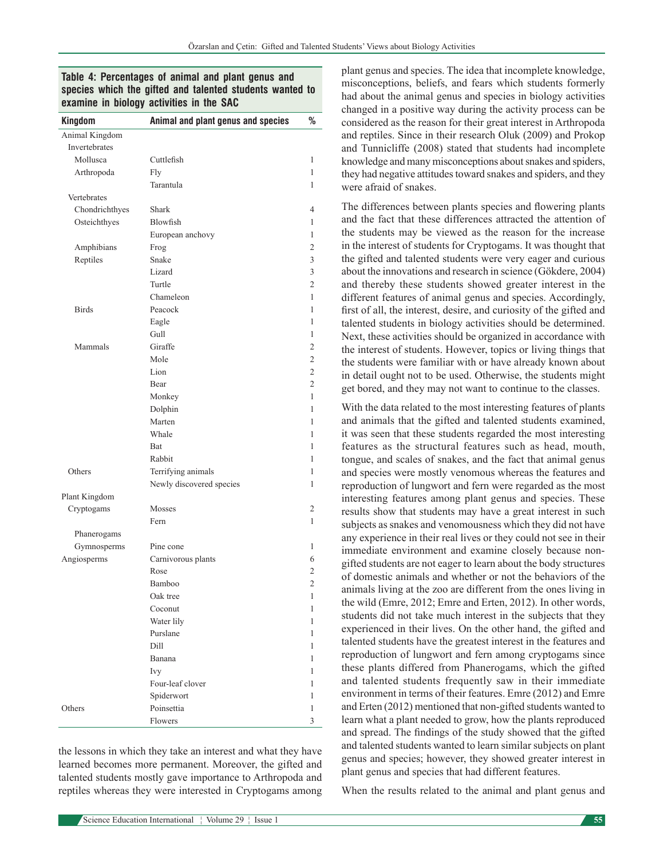## **Table 4: Percentages of animal and plant genus and species which the gifted and talented students wanted to examine in biology activities in the SAC**

| <b>Kingdom</b> | Animal and plant genus and species | %              |
|----------------|------------------------------------|----------------|
| Animal Kingdom |                                    |                |
| Invertebrates  |                                    |                |
| Mollusca       | Cuttlefish                         | 1              |
| Arthropoda     | Fly                                | 1              |
|                | Tarantula                          | 1              |
| Vertebrates    |                                    |                |
| Chondrichthyes | Shark                              | 4              |
| Osteichthyes   | Blowfish                           | 1              |
|                | European anchovy                   | 1              |
| Amphibians     | Frog                               | $\overline{c}$ |
| Reptiles       | Snake                              | 3              |
|                | Lizard                             | 3              |
|                | Turtle                             | 2              |
|                | Chameleon                          | 1              |
| <b>Birds</b>   | Peacock                            | 1              |
|                | Eagle                              | 1              |
|                | Gull                               | 1              |
| Mammals        | Giraffe                            | 2              |
|                | Mole                               | $\overline{2}$ |
|                | Lion                               | 2              |
|                | Bear                               | $\overline{2}$ |
|                | Monkey                             | 1              |
|                | Dolphin                            | 1              |
|                | Marten                             | 1              |
|                | Whale                              | 1              |
|                | Bat                                | 1              |
|                | Rabbit                             | 1              |
| Others         | Terrifying animals                 | 1              |
|                | Newly discovered species           | 1              |
| Plant Kingdom  |                                    |                |
| Cryptogams     | Mosses                             | 2              |
|                | Fern                               | 1              |
| Phanerogams    |                                    |                |
| Gymnosperms    | Pine cone                          | 1              |
| Angiosperms    | Carnivorous plants                 | 6              |
|                | Rose                               | 2              |
|                | Bamboo                             | 2              |
|                | Oak tree                           | 1              |
|                | Coconut                            | 1              |
|                | Water lily                         | 1              |
|                | Purslane                           | 1              |
|                | Dill                               | 1              |
|                | Banana                             | 1              |
|                | Ivy                                | 1              |
|                | Four-leaf clover                   | 1              |
|                | Spiderwort                         | 1              |
| Others         | Poinsettia                         | 1              |
|                | Flowers                            | 3              |
|                |                                    |                |

the lessons in which they take an interest and what they have learned becomes more permanent. Moreover, the gifted and talented students mostly gave importance to Arthropoda and reptiles whereas they were interested in Cryptogams among

had about the animal genus and species in biology activities changed in a positive way during the activity process can be considered as the reason for their great interest in Arthropoda and reptiles. Since in their research Oluk (2009) and Prokop and Tunnicliffe (2008) stated that students had incomplete knowledge and many misconceptions about snakes and spiders, they had negative attitudes toward snakes and spiders, and they were afraid of snakes. The differences between plants species and flowering plants

plant genus and species. The idea that incomplete knowledge, misconceptions, beliefs, and fears which students formerly

and the fact that these differences attracted the attention of the students may be viewed as the reason for the increase in the interest of students for Cryptogams. It was thought that the gifted and talented students were very eager and curious about the innovations and research in science (Gökdere, 2004) and thereby these students showed greater interest in the different features of animal genus and species. Accordingly, first of all, the interest, desire, and curiosity of the gifted and talented students in biology activities should be determined. Next, these activities should be organized in accordance with the interest of students. However, topics or living things that the students were familiar with or have already known about in detail ought not to be used. Otherwise, the students might get bored, and they may not want to continue to the classes.

With the data related to the most interesting features of plants and animals that the gifted and talented students examined, it was seen that these students regarded the most interesting features as the structural features such as head, mouth, tongue, and scales of snakes, and the fact that animal genus and species were mostly venomous whereas the features and reproduction of lungwort and fern were regarded as the most interesting features among plant genus and species. These results show that students may have a great interest in such subjects as snakes and venomousness which they did not have any experience in their real lives or they could not see in their immediate environment and examine closely because nongifted students are not eager to learn about the body structures of domestic animals and whether or not the behaviors of the animals living at the zoo are different from the ones living in the wild (Emre, 2012; Emre and Erten, 2012). In other words, students did not take much interest in the subjects that they experienced in their lives. On the other hand, the gifted and talented students have the greatest interest in the features and reproduction of lungwort and fern among cryptogams since these plants differed from Phanerogams, which the gifted and talented students frequently saw in their immediate environment in terms of their features. Emre (2012) and Emre and Erten (2012) mentioned that non-gifted students wanted to learn what a plant needed to grow, how the plants reproduced and spread. The findings of the study showed that the gifted and talented students wanted to learn similar subjects on plant genus and species; however, they showed greater interest in plant genus and species that had different features.

When the results related to the animal and plant genus and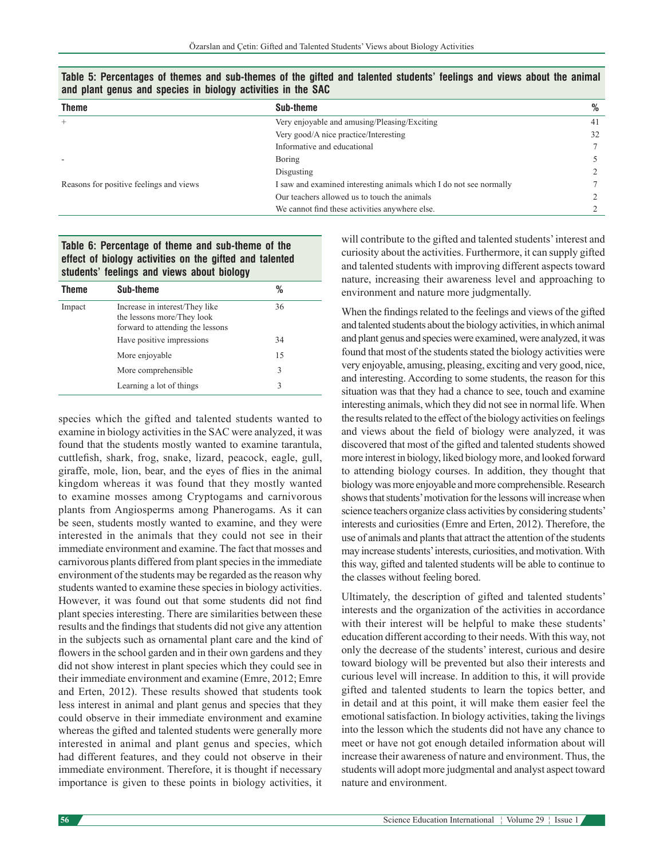| and plant goiled and opouloo in plotogy activities in the one |                                                                    |    |  |
|---------------------------------------------------------------|--------------------------------------------------------------------|----|--|
| <b>Theme</b>                                                  | Sub-theme                                                          | %  |  |
|                                                               | Very enjoyable and amusing/Pleasing/Exciting                       | 41 |  |
|                                                               | Very good/A nice practice/Interesting                              | 32 |  |
|                                                               | Informative and educational                                        |    |  |
|                                                               | <b>Boring</b>                                                      |    |  |
|                                                               | Disgusting                                                         |    |  |
| Reasons for positive feelings and views                       | I saw and examined interesting animals which I do not see normally |    |  |
|                                                               | Our teachers allowed us to touch the animals                       |    |  |
|                                                               | We cannot find these activities anywhere else.                     |    |  |

**Table 5: Percentages of themes and sub‑themes of the gifted and talented students' feelings and views about the animal and plant genus and species in biology activities in the SAC**

#### **Table 6: Percentage of theme and sub‑theme of the effect of biology activities on the gifted and talented students' feelings and views about biology**

| <b>Theme</b> | Sub-theme                                                                                        | ℅  |
|--------------|--------------------------------------------------------------------------------------------------|----|
| Impact       | Increase in interest/They like<br>the lessons more/They look<br>forward to attending the lessons | 36 |
|              | Have positive impressions                                                                        | 34 |
|              | More enjoyable                                                                                   | 15 |
|              | More comprehensible                                                                              | 3  |
|              | Learning a lot of things                                                                         | 3  |

species which the gifted and talented students wanted to examine in biology activities in the SAC were analyzed, it was found that the students mostly wanted to examine tarantula, cuttlefish, shark, frog, snake, lizard, peacock, eagle, gull, giraffe, mole, lion, bear, and the eyes of flies in the animal kingdom whereas it was found that they mostly wanted to examine mosses among Cryptogams and carnivorous plants from Angiosperms among Phanerogams. As it can be seen, students mostly wanted to examine, and they were interested in the animals that they could not see in their immediate environment and examine. The fact that mosses and carnivorous plants differed from plant species in the immediate environment of the students may be regarded as the reason why students wanted to examine these species in biology activities. However, it was found out that some students did not find plant species interesting. There are similarities between these results and the findings that students did not give any attention in the subjects such as ornamental plant care and the kind of flowers in the school garden and in their own gardens and they did not show interest in plant species which they could see in their immediate environment and examine (Emre, 2012; Emre and Erten, 2012). These results showed that students took less interest in animal and plant genus and species that they could observe in their immediate environment and examine whereas the gifted and talented students were generally more interested in animal and plant genus and species, which had different features, and they could not observe in their immediate environment. Therefore, it is thought if necessary importance is given to these points in biology activities, it will contribute to the gifted and talented students' interest and curiosity about the activities. Furthermore, it can supply gifted and talented students with improving different aspects toward nature, increasing their awareness level and approaching to environment and nature more judgmentally.

When the findings related to the feelings and views of the gifted and talented students about the biology activities, in which animal and plant genus and species were examined, were analyzed, it was found that most of the students stated the biology activities were very enjoyable, amusing, pleasing, exciting and very good, nice, and interesting. According to some students, the reason for this situation was that they had a chance to see, touch and examine interesting animals, which they did not see in normal life. When the results related to the effect of the biology activities on feelings and views about the field of biology were analyzed, it was discovered that most of the gifted and talented students showed more interest in biology, liked biology more, and looked forward to attending biology courses. In addition, they thought that biology was more enjoyable and more comprehensible. Research shows that students' motivation for the lessons will increase when science teachers organize class activities by considering students' interests and curiosities (Emre and Erten, 2012). Therefore, the use of animals and plants that attract the attention of the students may increase students' interests, curiosities, and motivation. With this way, gifted and talented students will be able to continue to the classes without feeling bored.

Ultimately, the description of gifted and talented students' interests and the organization of the activities in accordance with their interest will be helpful to make these students' education different according to their needs. With this way, not only the decrease of the students' interest, curious and desire toward biology will be prevented but also their interests and curious level will increase. In addition to this, it will provide gifted and talented students to learn the topics better, and in detail and at this point, it will make them easier feel the emotional satisfaction. In biology activities, taking the livings into the lesson which the students did not have any chance to meet or have not got enough detailed information about will increase their awareness of nature and environment. Thus, the students will adopt more judgmental and analyst aspect toward nature and environment.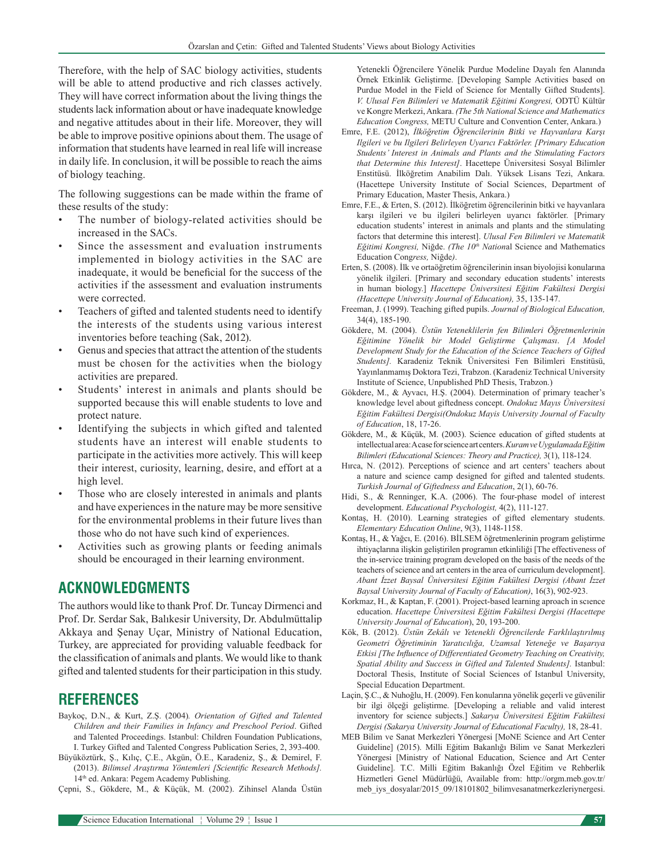Therefore, with the help of SAC biology activities, students will be able to attend productive and rich classes actively. They will have correct information about the living things the students lack information about or have inadequate knowledge and negative attitudes about in their life. Moreover, they will be able to improve positive opinions about them. The usage of information that students have learned in real life will increase in daily life. In conclusion, it will be possible to reach the aims of biology teaching.

The following suggestions can be made within the frame of these results of the study:

- The number of biology-related activities should be increased in the SACs.
- Since the assessment and evaluation instruments implemented in biology activities in the SAC are inadequate, it would be beneficial for the success of the activities if the assessment and evaluation instruments were corrected.
- Teachers of gifted and talented students need to identify the interests of the students using various interest inventories before teaching (Sak, 2012).
- Genus and species that attract the attention of the students must be chosen for the activities when the biology activities are prepared.
- Students' interest in animals and plants should be supported because this will enable students to love and protect nature.
- Identifying the subjects in which gifted and talented students have an interest will enable students to participate in the activities more actively. This will keep their interest, curiosity, learning, desire, and effort at a high level.
- Those who are closely interested in animals and plants and have experiences in the nature may be more sensitive for the environmental problems in their future lives than those who do not have such kind of experiences.
- Activities such as growing plants or feeding animals should be encouraged in their learning environment.

# **ACKNOWLEDGMENTS**

The authors would like to thank Prof. Dr.Tuncay Dirmenci and Prof. Dr. Serdar Sak, Balıkesir University, Dr. Abdulmüttalip Akkaya and Şenay Uçar, Ministry of National Education, Turkey, are appreciated for providing valuable feedback for the classification of animals and plants. We would like to thank gifted and talented students for their participation in this study.

## **REFERENCES**

- Baykoç, D.N., & Kurt, Z.Ş. (2004)*. Orientation of Gifted and Talented Children and their Families in Infancy and Preschool Period*. Gifted and Talented Proceedings. Istanbul: Children Foundation Publications, I. Turkey Gifted and Talented Congress Publication Series, 2, 393-400.
- Büyüköztürk, Ş., Kılıç, Ç.E., Akgün, Ö.E., Karadeniz, Ş., & Demirel, F. (2013). *Bilimsel Araştırma Yöntemleri [Scientific Research Methods].* 14th ed. Ankara: Pegem Academy Publishing.
- Çepni, S., Gökdere, M., & Küçük, M. (2002). Zihinsel Alanda Üstün

Yetenekli Öğrencilere Yönelik Purdue Modeline Dayalı fen Alanında Örnek Etkinlik Geliştirme. [Developing Sample Activities based on Purdue Model in the Field of Science for Mentally Gifted Students]. *V. Ulusal Fen Bilimleri ve Matematik Eğitimi Kongresi,* ODTÜ Kültür ve Kongre Merkezi, Ankara. *(The 5th National Science and Mathematics Education Congress,* METU Culture and Convention Center, Ankara.)

- Emre, F.E. (2012), *İlköğretim Öğrencilerinin Bitki ve Hayvanlara Karşı Ilgileri ve bu Ilgileri Belirleyen Uyarıcı Faktörler. [Primary Education Students' Interest in Animals and Plants and the Stimulating Factors that Determine this Interest]*. Hacettepe Üniversitesi Sosyal Bilimler Enstitüsü. İlköğretim Anabilim Dalı. Yüksek Lisans Tezi, Ankara. (Hacettepe University Institute of Social Sciences, Department of Primary Education, Master Thesis, Ankara.)
- Emre, F.E., & Erten, S. (2012). İlköğretim öğrencilerinin bitki ve hayvanlara karşı ilgileri ve bu ilgileri belirleyen uyarıcı faktörler. [Primary education students' interest in animals and plants and the stimulating factors that determine this interest]. *Ulusal Fen Bilimleri ve Matematik Eğitimi Kongresi,* Niğde. *(The 10th Nation*al Science and Mathematics Education Cong*ress,* Niğde*)*.
- Erten, S. (2008). İlk ve ortaöğretim öğrencilerinin insan biyolojisi konularına yönelik ilgileri. [Primary and secondary education students' interests in human biology.] *Hacettepe Üniversitesi Eğitim Fakültesi Dergisi (Hacettepe University Journal of Education),* 35, 135-147.
- Freeman, J. (1999). Teaching gifted pupils. *Journal of Biological Education,*  34(4), 185-190.
- Gökdere, M. (2004). *Üstün Yeteneklilerin fen Bilimleri Öğretmenlerinin Eğitimine Yönelik bir Model Geliştirme Çalışması*. *[A Model Development Study for the Education of the Science Teachers of Gifted Students].* Karadeniz Teknik Üniversitesi Fen Bilimleri Enstitüsü, Yayınlanmamış Doktora Tezi, Trabzon. (Karadeniz Technical University Institute of Science, Unpublished PhD Thesis, Trabzon.)
- Gökdere, M., & Ayvacı, H.Ş. (2004). Determination of primary teacher's knowledge level about giftedness concept. *Ondokuz Mayıs Üniversitesi Eğitim Fakültesi Dergisi(Ondokuz Mayis University Journal of Faculty of Education*, 18, 17-26.
- Gökdere, M., & Küçük, M. (2003). Science education of gifted students at intellectual area: Acase for science art centers. *Kuram ve Uygulamada Eğitim Bilimleri (Educational Sciences: Theory and Practice),* 3(1), 118‑124.
- Hırca, N. (2012). Perceptions of science and art centers' teachers about a nature and science camp designed for gifted and talented students. *Turkish Journal of Giftedness and Education*, 2(1), 60-76.
- Hidi, S., & Renninger, K.A. (2006). The four-phase model of interest development. *Educational Psychologist,* 4(2), 111-127.
- Kontaş, H. (2010). Learning strategies of gifted elementary students. *Elementary Education Online*, 9(3), 1148-1158.
- Kontaş, H., & Yağcı, E. (2016). BİLSEM öğretmenlerinin program geliştirme ihtiyaçlarına ilişkin geliştirilen programın etkinliliği [The effectiveness of the in-service training program developed on the basis of the needs of the teachers of science and art centers in the area of curriculum development]. *Abant İzzet Baysal Üniversitesi Eğitim Fakültesi Dergisi (Abant İzzet Baysal University Journal of Faculty of Education)*, 16(3), 902-923.
- Korkmaz, H., & Kaptan, F. (2001). Project-based learning aproach in scıence education. *Hacettepe Üniversitesi Eğitim Fakültesi Dergisi (Hacettepe University Journal of Education*), 20, 193-200.
- Kök, B. (2012). *Üstün Zekâlı ve Yetenekli Öğrencilerde Farklılaştırılmış Geometri Öğretiminin Yaratıcılığa, Uzamsal Yeteneğe ve Başarıya Etkisi [The Influence of Differentiated Geometry Teaching on Creativity, Spatial Ability and Success in Gifted and Talented Students].* Istanbul: Doctoral Thesis, Institute of Social Sciences of Istanbul University, Special Education Department.
- Laçin, Ş.C., & Nuhoğlu, H. (2009). Fen konularına yönelik geçerli ve güvenilir bir ilgi ölçeği geliştirme. [Developing a reliable and valid interest inventory for science subjects.] *Sakarya Üniversitesi Eğitim Fakültesi Dergisi (Sakarya University Journal of Educational Faculty),* 18, 28-41.
- MEB Bilim ve Sanat Merkezleri Yönergesi [MoNE Science and Art Center Guideline] (2015). Milli Eğitim Bakanlığı Bilim ve Sanat Merkezleri Yönergesi [Ministry of National Education, Science and Art Center Guideline]. T.C. Milli Eğitim Bakanlığı Özel Eğitim ve Rehberlik Hizmetleri Genel Müdürlüğü, Available from: http://orgm.meb.gov.tr/ meb\_iys\_dosyalar/2015\_09/18101802\_bilimvesanatmerkezleriynergesi.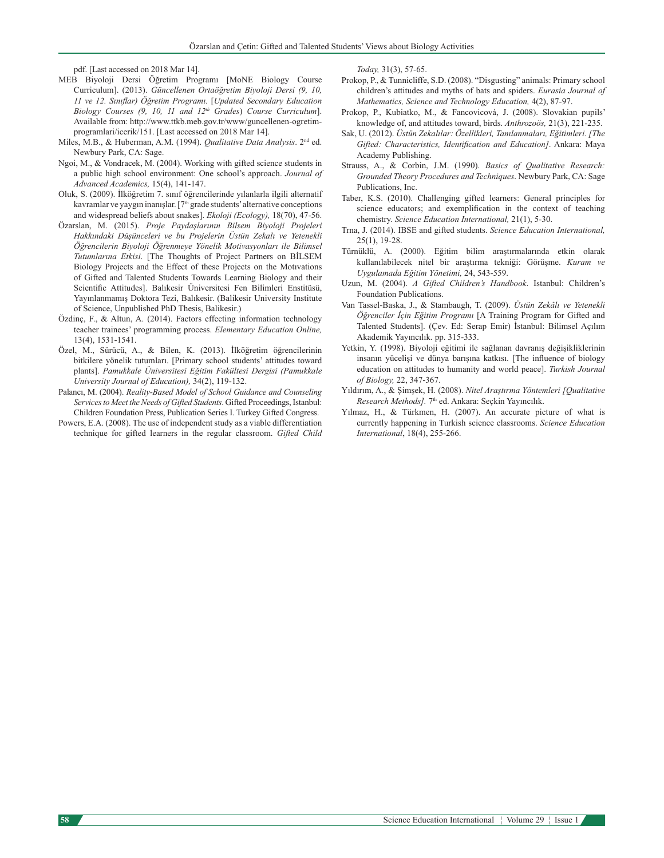pdf. [Last accessed on 2018 Mar 14].

- MEB Biyoloji Dersi Öğretim Programı [MoNE Biology Course Curriculum]. (2013). *Güncellenen Ortaöğretim Biyoloji Dersi (9, 10, 11 ve 12. Sınıflar) Öğretim Programı.* [*Updated Secondary Education Biology Courses (9, 10, 11 and 12th Grades*) *Course Curriculum*]. Available from: http://www.ttkb.meb.gov.tr/www/guncellenen-ogretimprogramlari/icerik/151. [Last accessed on 2018 Mar 14].
- Miles, M.B., & Huberman, A.M. (1994). *Qualitative Data Analysis*. 2nd ed. Newbury Park, CA: Sage.
- Ngoi, M., & Vondracek, M. (2004). Working with gifted science students in a public high school environment: One school's approach. *Journal of Advanced Academics,* 15(4), 141-147.
- Oluk, S. (2009). İlköğretim 7. sınıf öğrencilerinde yılanlarla ilgili alternatif kavramlar ve yaygın inanışlar.  $[7<sup>th</sup>$  grade students' alternative conceptions and widespread beliefs about snakes]. *Ekoloji (Ecology),* 18(70), 47-56.
- Özarslan, M. (2015). *Proje Paydaşlarının Bilsem Biyoloji Projeleri Hakkındaki Düşünceleri ve bu Projelerin Üstün Zekalı ve Yetenekli Öğrencilerin Biyoloji Öğrenmeye Yönelik Motivasyonları ile Bilimsel Tutumlarına Etkisi*. [The Thoughts of Project Partners on BİLSEM Biology Projects and the Effect of these Projects on the Motıvations of Gifted and Talented Students Towards Learning Biology and their Scientific Attitudes]. Balıkesir Üniversitesi Fen Bilimleri Enstitüsü, Yayınlanmamış Doktora Tezi, Balıkesir. (Balikesir University Institute of Science, Unpublished PhD Thesis, Balikesir.)
- Özdinç, F., & Altun, A. (2014). Factors effecting information technology teacher trainees' programming process. *Elementary Education Online,*  13(4), 1531-1541.
- Özel, M., Sürücü, A., & Bilen, K. (2013). İlköğretim öğrencilerinin bitkilere yönelik tutumları. [Primary school students' attitudes toward plants]. *Pamukkale Üniversitesi Eğitim Fakültesi Dergisi (Pamukkale University Journal of Education),* 34(2), 119-132.
- Palancı, M. (2004). *Reality-Based Model of School Guidance and Counseling Services to Meet the Needs of Gifted Students*. Gifted Proceedings, Istanbul: Children Foundation Press, Publication Series I. Turkey Gifted Congress.
- Powers, E.A. (2008). The use of independent study as a viable differentiation technique for gifted learners in the regular classroom. *Gifted Child*

*Today,* 31(3), 57-65.

- Prokop, P., & Tunnicliffe, S.D. (2008). "Disgusting" animals: Primary school children's attitudes and myths of bats and spiders. *Eurasia Journal of Mathematics, Science and Technology Education,* 4(2), 87-97.
- Prokop, P., Kubiatko, M., & Fancovicová, J. (2008). Slovakian pupils' knowledge of, and attitudes toward, birds. *Anthrozoös,* 21(3), 221-235.
- Sak, U. (2012). *Üstün Zekalılar: Özellikleri, Tanılanmaları, Eğitimleri*. *[The Gifted: Characteristics, Identification and Education]*. Ankara: Maya Academy Publishing.
- Strauss, A., & Corbin, J.M. (1990). *Basics of Qualitative Research: Grounded Theory Procedures and Techniques*. Newbury Park, CA: Sage Publications, Inc.
- Taber, K.S. (2010). Challenging gifted learners: General principles for science educators; and exemplification in the context of teaching chemistry. *Science Education International,* 21(1), 5-30.
- Trna, J. (2014). IBSE and gifted students. *Science Education International,* 25(1), 19-28.
- Türnüklü, A. (2000). Eğitim bilim araştırmalarında etkin olarak kullanılabilecek nitel bir araştırma tekniği: Görüşme. *Kuram ve Uygulamada Eğitim Yönetimi,* 24, 543-559.
- Uzun, M. (2004). *A Gifted Children's Handbook*. Istanbul: Children's Foundation Publications.
- Van Tassel-Baska, J., & Stambaugh, T. (2009). *Üstün Zekâlı ve Yetenekli Öğrenciler İçin Eğitim Programı* [A Training Program for Gifted and Talented Students]. (Çev. Ed: Serap Emir) İstanbul: Bilimsel Açılım Akademik Yayıncılık. pp. 315-333.
- Yetkin, Y. (1998). Biyoloji eğitimi ile sağlanan davranış değişikliklerinin insanın yücelişi ve dünya barışına katkısı. [The influence of biology education on attitudes to humanity and world peace]. *Turkish Journal of Biology,* 22, 347-367.
- Yıldırım, A., & Şimşek, H. (2008). *Nitel Araştırma Yöntemleri [Qualitative Research Methods].* 7th ed. Ankara: Seçkin Yayıncılık.
- Yılmaz, H., & Türkmen, H. (2007). An accurate picture of what is currently happening in Turkish science classrooms. *Science Education International*, 18(4), 255-266.